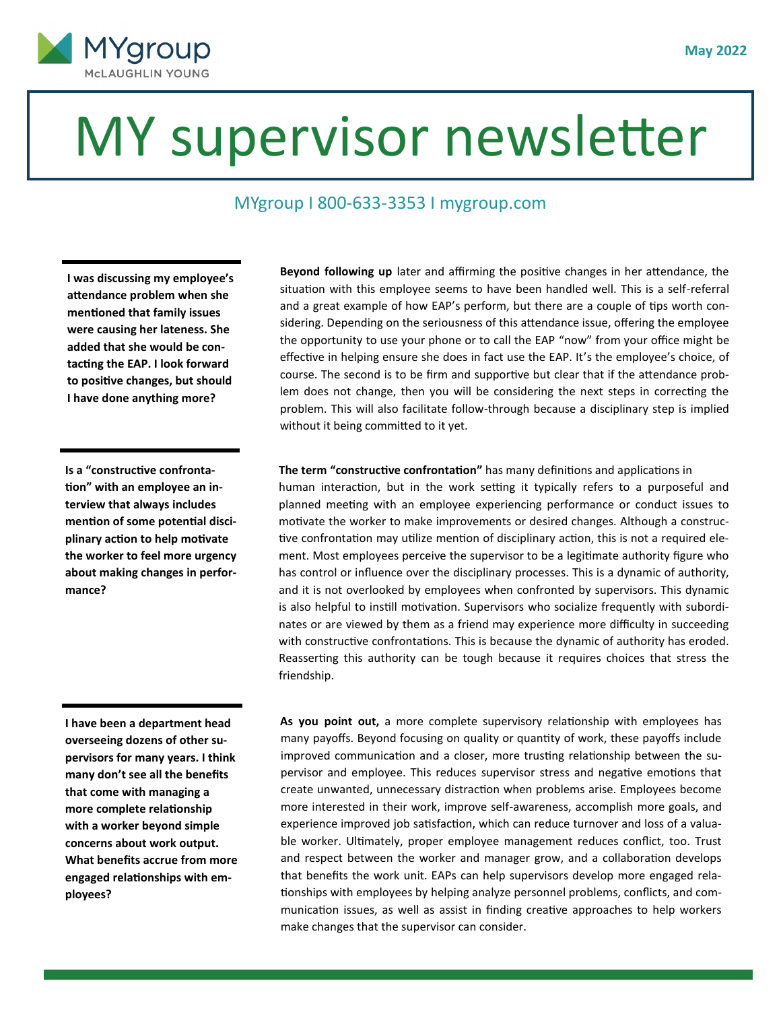

## MY supervisor newsletter

## MYgroup I 800-633-3353 I mygroup.com

**I was discussing my employee's attendance problem when she mentioned that family issues were causing her lateness. She added that she would be contacting the EAP. I look forward to positive changes, but should I have done anything more?** 

**Is a "constructive confrontation" with an employee an interview that always includes mention of some potential disciplinary action to help motivate the worker to feel more urgency about making changes in performance?** 

**I have been a department head overseeing dozens of other supervisors for many years. I think many don't see all the benefits that come with managing a more complete relationship with a worker beyond simple concerns about work output. What benefits accrue from more engaged relationships with employees?** 

**Beyond following up** later and affirming the positive changes in her attendance, the situation with this employee seems to have been handled well. This is a self-referral and a great example of how EAP's perform, but there are a couple of tips worth considering. Depending on the seriousness of this attendance issue, offering the employee the opportunity to use your phone or to call the EAP "now" from your office might be effective in helping ensure she does in fact use the EAP. It's the employee's choice, of course. The second is to be firm and supportive but clear that if the attendance problem does not change, then you will be considering the next steps in correcting the problem. This will also facilitate follow-through because a disciplinary step is implied without it being committed to it yet.

## **The term "constructive confrontation"** has many definitions and applications in

human interaction, but in the work setting it typically refers to a purposeful and planned meeting with an employee experiencing performance or conduct issues to motivate the worker to make improvements or desired changes. Although a constructive confrontation may utilize mention of disciplinary action, this is not a required element. Most employees perceive the supervisor to be a legitimate authority figure who has control or influence over the disciplinary processes. This is a dynamic of authority, and it is not overlooked by employees when confronted by supervisors. This dynamic is also helpful to instill motivation. Supervisors who socialize frequently with subordinates or are viewed by them as a friend may experience more difficulty in succeeding with constructive confrontations. This is because the dynamic of authority has eroded. Reasserting this authority can be tough because it requires choices that stress the friendship.

 **As you point out,** a more complete supervisory relationship with employees has many payoffs. Beyond focusing on quality or quantity of work, these payoffs include improved communication and a closer, more trusting relationship between the supervisor and employee. This reduces supervisor stress and negative emotions that create unwanted, unnecessary distraction when problems arise. Employees become more interested in their work, improve self-awareness, accomplish more goals, and experience improved job satisfaction, which can reduce turnover and loss of a valuable worker. Ultimately, proper employee management reduces conflict, too. Trust and respect between the worker and manager grow, and a collaboration develops that benefits the work unit. EAPs can help supervisors develop more engaged relationships with employees by helping analyze personnel problems, conflicts, and communication issues, as well as assist in finding creative approaches to help workers make changes that the supervisor can consider.